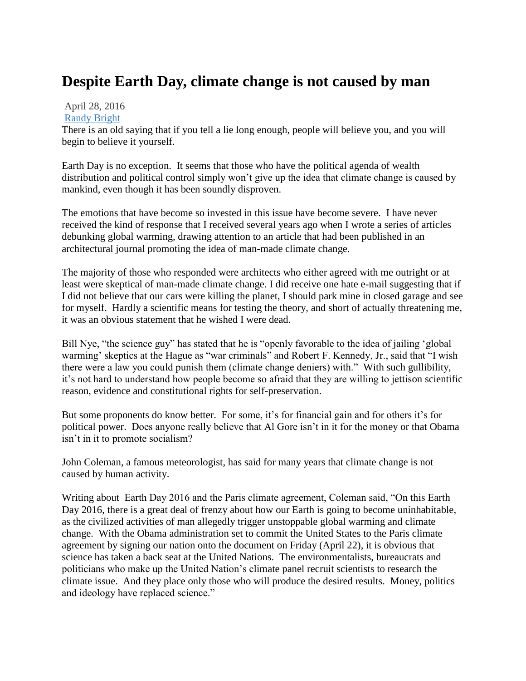## **Despite Earth Day, climate change is not caused by man**

## April 28, 2016 [Randy Bright](http://tulsabeacon.com/author/randy-bright/)

There is an old saying that if you tell a lie long enough, people will believe you, and you will begin to believe it yourself.

Earth Day is no exception. It seems that those who have the political agenda of wealth distribution and political control simply won"t give up the idea that climate change is caused by mankind, even though it has been soundly disproven.

The emotions that have become so invested in this issue have become severe. I have never received the kind of response that I received several years ago when I wrote a series of articles debunking global warming, drawing attention to an article that had been published in an architectural journal promoting the idea of man-made climate change.

The majority of those who responded were architects who either agreed with me outright or at least were skeptical of man-made climate change. I did receive one hate e-mail suggesting that if I did not believe that our cars were killing the planet, I should park mine in closed garage and see for myself. Hardly a scientific means for testing the theory, and short of actually threatening me, it was an obvious statement that he wished I were dead.

Bill Nye, "the science guy" has stated that he is "openly favorable to the idea of jailing 'global warming' skeptics at the Hague as "war criminals" and Robert F. Kennedy, Jr., said that "I wish there were a law you could punish them (climate change deniers) with." With such gullibility, it"s not hard to understand how people become so afraid that they are willing to jettison scientific reason, evidence and constitutional rights for self-preservation.

But some proponents do know better. For some, it's for financial gain and for others it's for political power. Does anyone really believe that Al Gore isn"t in it for the money or that Obama isn't in it to promote socialism?

John Coleman, a famous meteorologist, has said for many years that climate change is not caused by human activity.

Writing about Earth Day 2016 and the Paris climate agreement, Coleman said, "On this Earth Day 2016, there is a great deal of frenzy about how our Earth is going to become uninhabitable, as the civilized activities of man allegedly trigger unstoppable global warming and climate change. With the Obama administration set to commit the United States to the Paris climate agreement by signing our nation onto the document on Friday (April 22), it is obvious that science has taken a back seat at the United Nations. The environmentalists, bureaucrats and politicians who make up the United Nation"s climate panel recruit scientists to research the climate issue. And they place only those who will produce the desired results. Money, politics and ideology have replaced science."